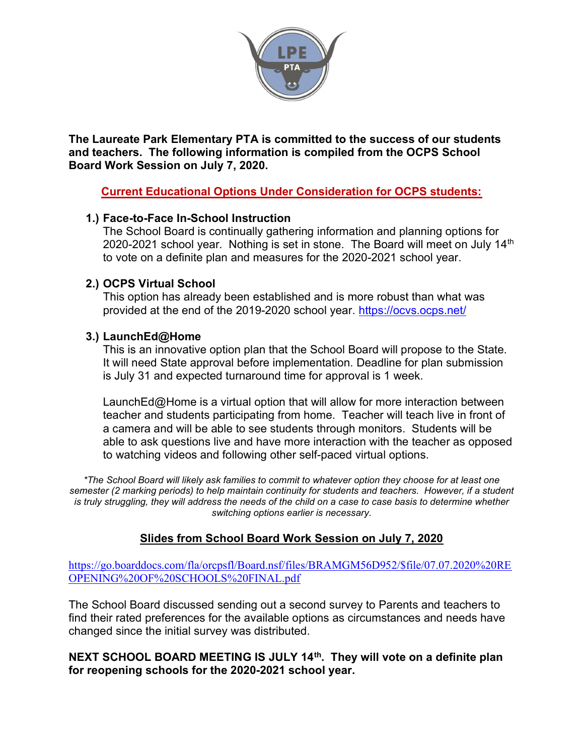

The Laureate Park Elementary PTA is committed to the success of our students and teachers. The following information is compiled from the OCPS School Board Work Session on July 7, 2020.

## Current Educational Options Under Consideration for OCPS students:

#### 1.) Face-to-Face In-School Instruction

The School Board is continually gathering information and planning options for 2020-2021 school year. Nothing is set in stone. The Board will meet on July  $14<sup>th</sup>$ to vote on a definite plan and measures for the 2020-2021 school year.

#### 2.) OCPS Virtual School

This option has already been established and is more robust than what was provided at the end of the 2019-2020 school year. https://ocvs.ocps.net/

#### 3.) LaunchEd@Home

This is an innovative option plan that the School Board will propose to the State. It will need State approval before implementation. Deadline for plan submission is July 31 and expected turnaround time for approval is 1 week.

LaunchEd@Home is a virtual option that will allow for more interaction between teacher and students participating from home. Teacher will teach live in front of a camera and will be able to see students through monitors. Students will be able to ask questions live and have more interaction with the teacher as opposed to watching videos and following other self-paced virtual options.

\*The School Board will likely ask families to commit to whatever option they choose for at least one semester (2 marking periods) to help maintain continuity for students and teachers. However, if a student is truly struggling, they will address the needs of the child on a case to case basis to determine whether switching options earlier is necessary.

## Slides from School Board Work Session on July 7, 2020

https://go.boarddocs.com/fla/orcpsfl/Board.nsf/files/BRAMGM56D952/\$file/07.07.2020%20RE OPENING%20OF%20SCHOOLS%20FINAL.pdf

The School Board discussed sending out a second survey to Parents and teachers to find their rated preferences for the available options as circumstances and needs have changed since the initial survey was distributed.

#### NEXT SCHOOL BOARD MEETING IS JULY 14<sup>th</sup>. They will vote on a definite plan for reopening schools for the 2020-2021 school year.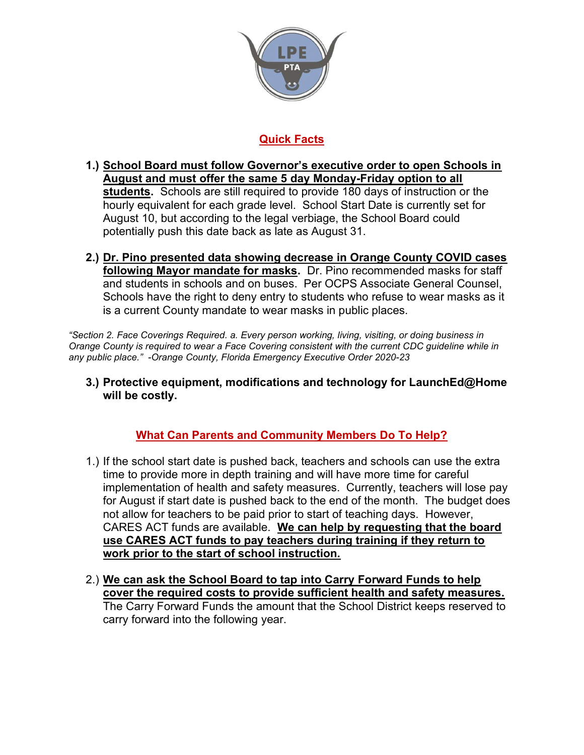

# Quick Facts

- 1.) School Board must follow Governor's executive order to open Schools in August and must offer the same 5 day Monday-Friday option to all students. Schools are still required to provide 180 days of instruction or the hourly equivalent for each grade level. School Start Date is currently set for August 10, but according to the legal verbiage, the School Board could potentially push this date back as late as August 31.
- 2.) Dr. Pino presented data showing decrease in Orange County COVID cases following Mayor mandate for masks. Dr. Pino recommended masks for staff and students in schools and on buses. Per OCPS Associate General Counsel, Schools have the right to deny entry to students who refuse to wear masks as it is a current County mandate to wear masks in public places.

"Section 2. Face Coverings Required. a. Every person working, living, visiting, or doing business in Orange County is required to wear a Face Covering consistent with the current CDC guideline while in any public place." -Orange County, Florida Emergency Executive Order 2020-23

3.) Protective equipment, modifications and technology for LaunchEd@Home will be costly.

# What Can Parents and Community Members Do To Help?

- 1.) If the school start date is pushed back, teachers and schools can use the extra time to provide more in depth training and will have more time for careful implementation of health and safety measures. Currently, teachers will lose pay for August if start date is pushed back to the end of the month. The budget does not allow for teachers to be paid prior to start of teaching days. However, CARES ACT funds are available. We can help by requesting that the board use CARES ACT funds to pay teachers during training if they return to work prior to the start of school instruction.
- 2.) We can ask the School Board to tap into Carry Forward Funds to help cover the required costs to provide sufficient health and safety measures. The Carry Forward Funds the amount that the School District keeps reserved to carry forward into the following year.